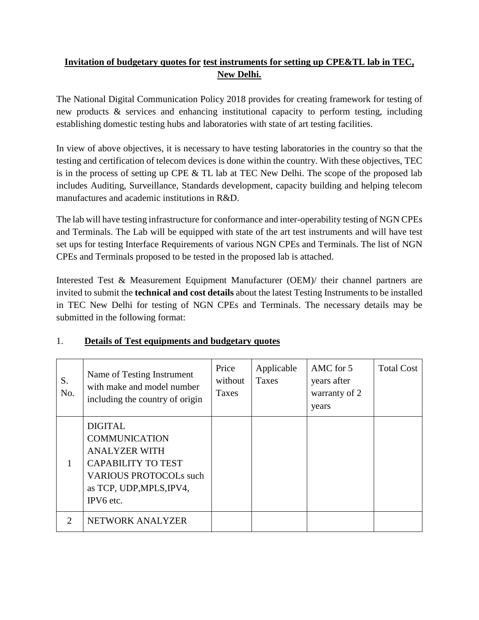## **Invitation of budgetary quotes for test instruments for setting up CPE&TL lab in TEC, New Delhi.**

The National Digital Communication Policy 2018 provides for creating framework for testing of new products & services and enhancing institutional capacity to perform testing, including establishing domestic testing hubs and laboratories with state of art testing facilities.

In view of above objectives, it is necessary to have testing laboratories in the country so that the testing and certification of telecom devices is done within the country. With these objectives, TEC is in the process of setting up CPE  $&$  TL lab at TEC New Delhi. The scope of the proposed lab includes Auditing, Surveillance, Standards development, capacity building and helping telecom manufactures and academic institutions in R&D.

The lab will have testing infrastructure for conformance and inter-operability testing of NGN CPEs and Terminals. The Lab will be equipped with state of the art test instruments and will have test set ups for testing Interface Requirements of various NGN CPEs and Terminals. The list of NGN CPEs and Terminals proposed to be tested in the proposed lab is attached.

Interested Test & Measurement Equipment Manufacturer (OEM)/ their channel partners are invited to submit the **technical and cost details** about the latest Testing Instruments to be installed in TEC New Delhi for testing of NGN CPEs and Terminals. The necessary details may be submitted in the following format:

| S.<br>No.                   | Name of Testing Instrument<br>with make and model number<br>including the country of origin                                                                           | Price<br>without<br>Taxes | Applicable<br>Taxes | AMC for 5<br>years after<br>warranty of 2<br>years | <b>Total Cost</b> |
|-----------------------------|-----------------------------------------------------------------------------------------------------------------------------------------------------------------------|---------------------------|---------------------|----------------------------------------------------|-------------------|
|                             | <b>DIGITAL</b><br><b>COMMUNICATION</b><br><b>ANALYZER WITH</b><br><b>CAPABILITY TO TEST</b><br><b>VARIOUS PROTOCOLs such</b><br>as TCP, UDP, MPLS, IPV4,<br>IPV6 etc. |                           |                     |                                                    |                   |
| $\mathcal{D}_{\mathcal{L}}$ | NETWORK ANALYZER                                                                                                                                                      |                           |                     |                                                    |                   |

## 1. **Details of Test equipments and budgetary quotes**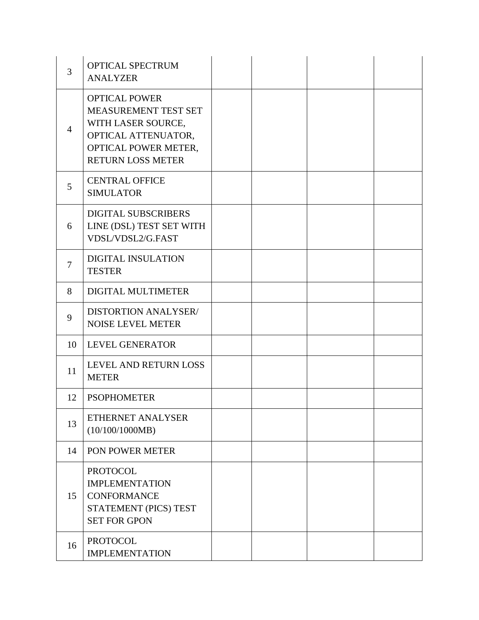| 3              | <b>OPTICAL SPECTRUM</b><br><b>ANALYZER</b>                                                                                                    |  |  |
|----------------|-----------------------------------------------------------------------------------------------------------------------------------------------|--|--|
| $\overline{4}$ | <b>OPTICAL POWER</b><br>MEASUREMENT TEST SET<br>WITH LASER SOURCE,<br>OPTICAL ATTENUATOR,<br>OPTICAL POWER METER,<br><b>RETURN LOSS METER</b> |  |  |
| 5              | <b>CENTRAL OFFICE</b><br><b>SIMULATOR</b>                                                                                                     |  |  |
| 6              | <b>DIGITAL SUBSCRIBERS</b><br>LINE (DSL) TEST SET WITH<br>VDSL/VDSL2/G.FAST                                                                   |  |  |
| 7              | <b>DIGITAL INSULATION</b><br><b>TESTER</b>                                                                                                    |  |  |
| 8              | DIGITAL MULTIMETER                                                                                                                            |  |  |
| 9              | DISTORTION ANALYSER/<br><b>NOISE LEVEL METER</b>                                                                                              |  |  |
| 10             | <b>LEVEL GENERATOR</b>                                                                                                                        |  |  |
| 11             | LEVEL AND RETURN LOSS<br><b>METER</b>                                                                                                         |  |  |
| 12             | <b>PSOPHOMETER</b>                                                                                                                            |  |  |
| 13             | ETHERNET ANALYSER<br>(10/100/1000MB)                                                                                                          |  |  |
| 14             | PON POWER METER                                                                                                                               |  |  |
| 15             | <b>PROTOCOL</b><br><b>IMPLEMENTATION</b><br><b>CONFORMANCE</b><br>STATEMENT (PICS) TEST<br><b>SET FOR GPON</b>                                |  |  |
| 16             | <b>PROTOCOL</b><br><b>IMPLEMENTATION</b>                                                                                                      |  |  |